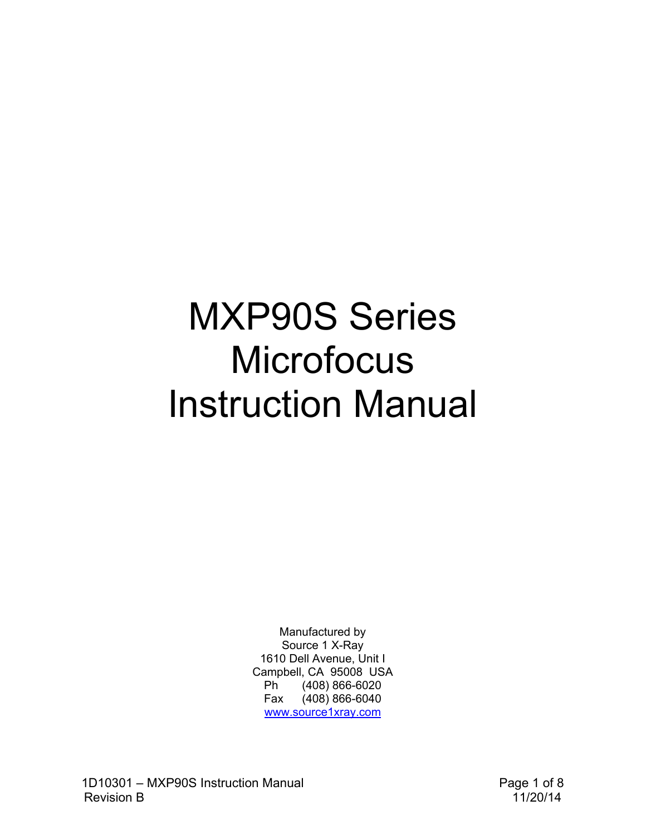# MXP90S Series **Microfocus** Instruction Manual

Manufactured by Source 1 X-Ray 1610 Dell Avenue, Unit I Campbell, CA 95008 USA Ph (408) 866-6020 Fax (408) 866-6040 www.source1xray.com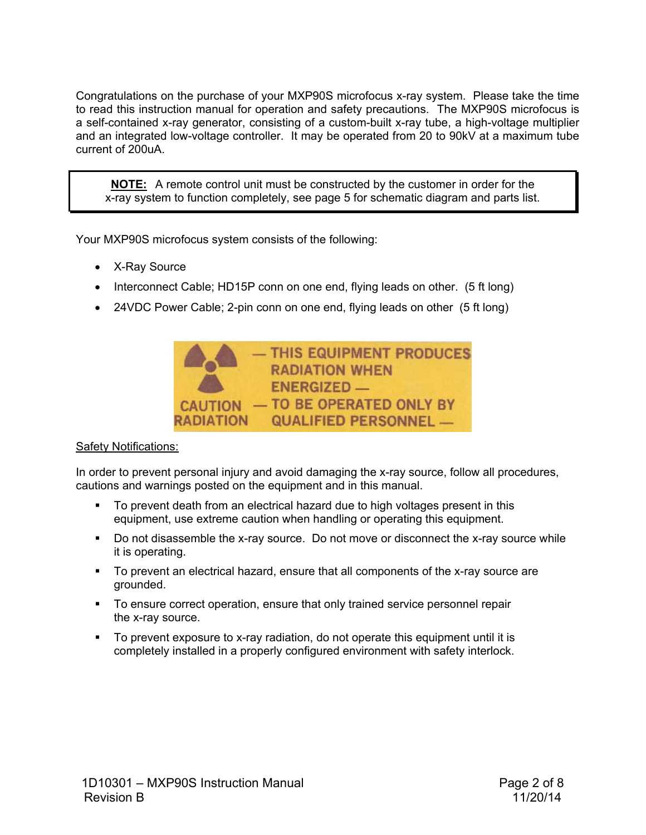Congratulations on the purchase of your MXP90S microfocus x-ray system. Please take the time to read this instruction manual for operation and safety precautions. The MXP90S microfocus is a self-contained x-ray generator, consisting of a custom-built x-ray tube, a high-voltage multiplier and an integrated low-voltage controller. It may be operated from 20 to 90kV at a maximum tube current of 200uA.

**NOTE:** A remote control unit must be constructed by the customer in order for the x-ray system to function completely, see page 5 for schematic diagram and parts list.

Your MXP90S microfocus system consists of the following:

- X-Ray Source
- Interconnect Cable; HD15P conn on one end, flying leads on other. (5 ft long)
- 24VDC Power Cable; 2-pin conn on one end, flying leads on other (5 ft long)



#### **Safety Notifications:**

In order to prevent personal injury and avoid damaging the x-ray source, follow all procedures, cautions and warnings posted on the equipment and in this manual.

- To prevent death from an electrical hazard due to high voltages present in this equipment, use extreme caution when handling or operating this equipment.
- Do not disassemble the x-ray source. Do not move or disconnect the x-ray source while it is operating.
- To prevent an electrical hazard, ensure that all components of the x-ray source are grounded.
- To ensure correct operation, ensure that only trained service personnel repair the x-ray source.
- To prevent exposure to x-ray radiation, do not operate this equipment until it is completely installed in a properly configured environment with safety interlock.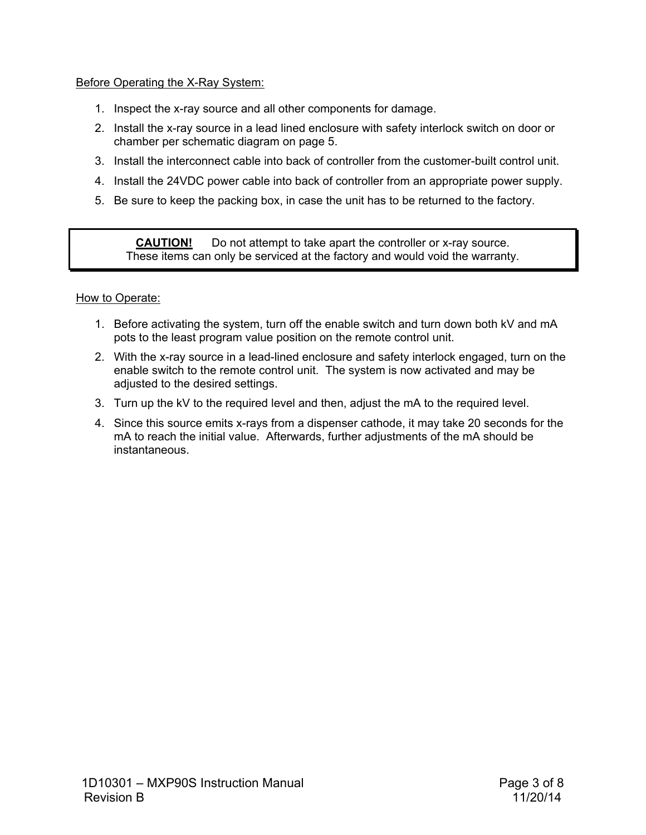# Before Operating the X-Ray System:

- 1. Inspect the x-ray source and all other components for damage.
- 2. Install the x-ray source in a lead lined enclosure with safety interlock switch on door or chamber per schematic diagram on page 5.
- 3. Install the interconnect cable into back of controller from the customer-built control unit.
- 4. Install the 24VDC power cable into back of controller from an appropriate power supply.
- 5. Be sure to keep the packing box, in case the unit has to be returned to the factory.

**CAUTION!** Do not attempt to take apart the controller or x-ray source. These items can only be serviced at the factory and would void the warranty.

#### How to Operate:

- 1. Before activating the system, turn off the enable switch and turn down both kV and mA pots to the least program value position on the remote control unit.
- 2. With the x-ray source in a lead-lined enclosure and safety interlock engaged, turn on the enable switch to the remote control unit. The system is now activated and may be adjusted to the desired settings.
- 3. Turn up the kV to the required level and then, adjust the mA to the required level.
- 4. Since this source emits x-rays from a dispenser cathode, it may take 20 seconds for the mA to reach the initial value. Afterwards, further adjustments of the mA should be instantaneous.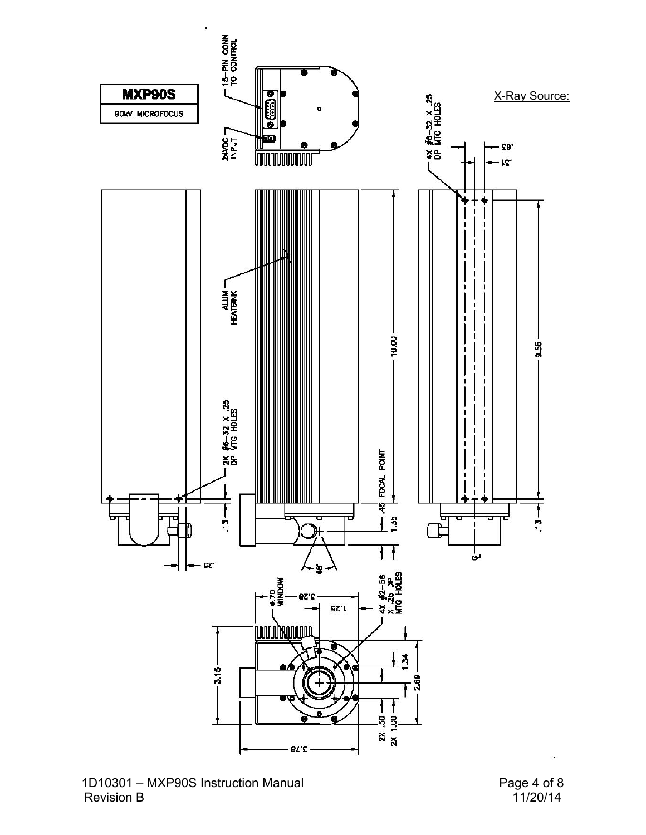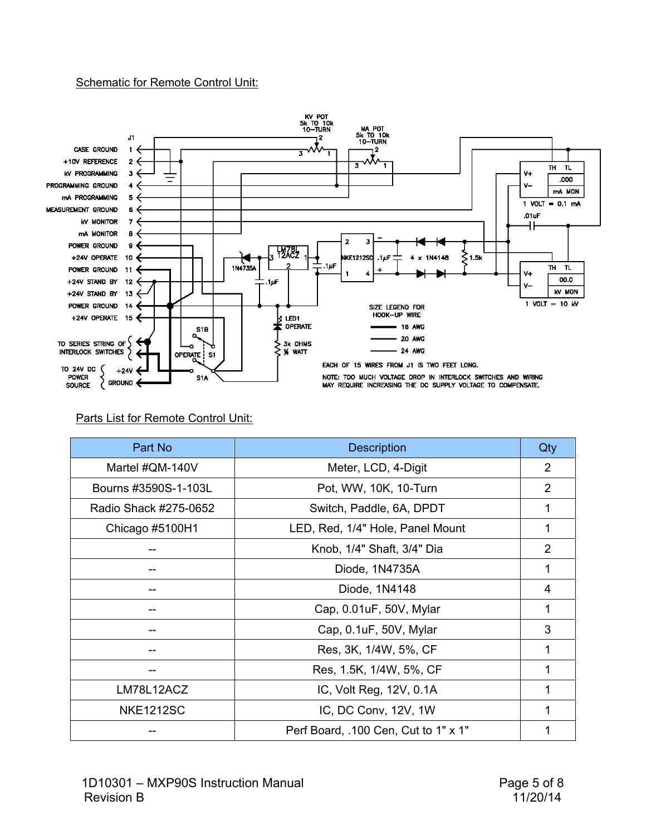## Schematic for Remote Control Unit:



#### Parts List for Remote Control Unit:

| Part No               | <b>Description</b>                   | Qty            |
|-----------------------|--------------------------------------|----------------|
| Martel #QM-140V       | Meter, LCD, 4-Digit                  | 2              |
| Bourns #3590S-1-103L  | Pot, WW, 10K, 10-Turn                | $\overline{2}$ |
| Radio Shack #275-0652 | Switch, Paddle, 6A, DPDT             | 1              |
| Chicago #5100H1       | LED, Red, 1/4" Hole, Panel Mount     | 1              |
|                       | Knob, 1/4" Shaft, 3/4" Dia           | 2              |
|                       | Diode, 1N4735A                       | 1              |
|                       | Diode, 1N4148                        | 4              |
|                       | Cap, 0.01uF, 50V, Mylar              | 1              |
|                       | Cap, 0.1uF, 50V, Mylar               | 3              |
|                       | Res, 3K, 1/4W, 5%, CF                | 1              |
|                       | Res, 1.5K, 1/4W, 5%, CF              | 1              |
| LM78L12ACZ            | IC, Volt Reg, 12V, 0.1A              | 1              |
| <b>NKE1212SC</b>      | IC, DC Conv, 12V, 1W                 | 1              |
|                       | Perf Board, .100 Cen, Cut to 1" x 1" | 1              |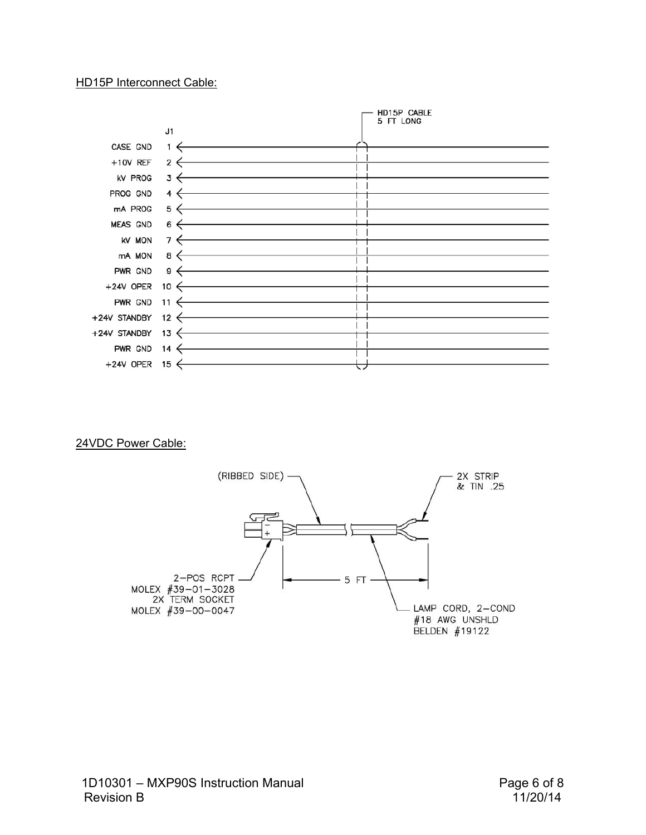#### HD15P Interconnect Cable:



24VDC Power Cable:

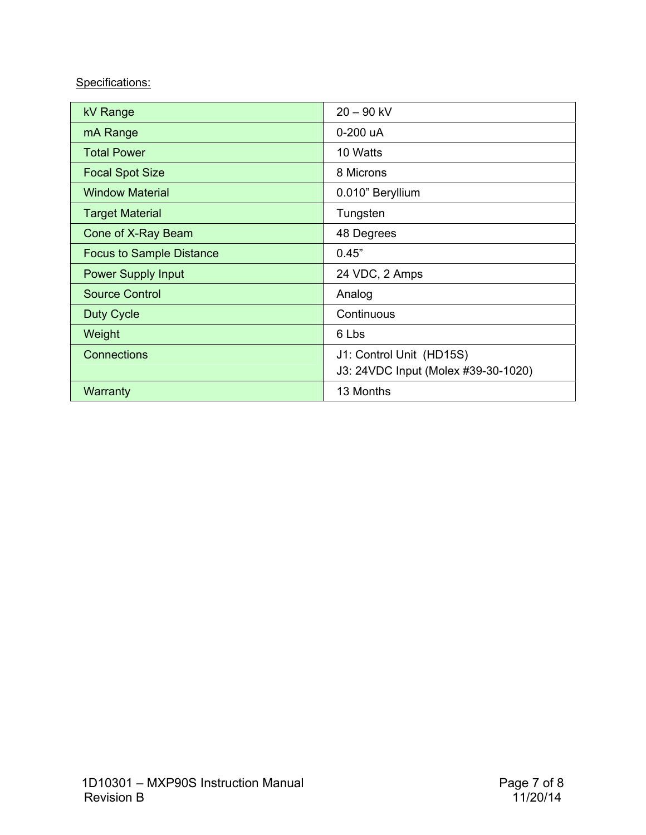# Specifications:

| kV Range                        | $20 - 90$ kV                        |
|---------------------------------|-------------------------------------|
| mA Range                        | 0-200 uA                            |
| <b>Total Power</b>              | 10 Watts                            |
| <b>Focal Spot Size</b>          | 8 Microns                           |
| <b>Window Material</b>          | 0.010" Beryllium                    |
| <b>Target Material</b>          | Tungsten                            |
| Cone of X-Ray Beam              | 48 Degrees                          |
| <b>Focus to Sample Distance</b> | 0.45"                               |
| <b>Power Supply Input</b>       | 24 VDC, 2 Amps                      |
| <b>Source Control</b>           | Analog                              |
| <b>Duty Cycle</b>               | Continuous                          |
| Weight                          | 6 Lbs                               |
| <b>Connections</b>              | J1: Control Unit (HD15S)            |
|                                 | J3: 24VDC Input (Molex #39-30-1020) |
| Warranty                        | 13 Months                           |